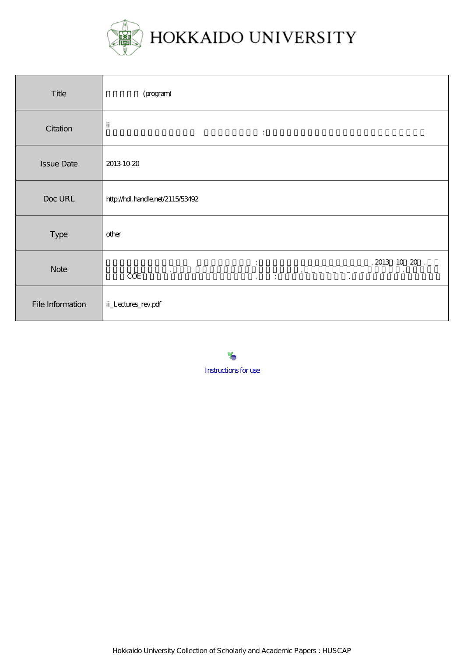

| Title             | (program)                                                                                                                                       |
|-------------------|-------------------------------------------------------------------------------------------------------------------------------------------------|
| Citation          | $\,$ ii<br>$\ddot{\phantom{a}}$ .                                                                                                               |
| <b>Issue Date</b> | 2013 10 20                                                                                                                                      |
| Doc URL           | http://hdl.handle.net/2115/53492                                                                                                                |
| Type              | other                                                                                                                                           |
| <b>Note</b>       | $.2013 \;\; 10 \;\; 20 \;\;.$<br>$\ddot{\cdot}$<br>$\bullet$<br>$\,$<br>$\bullet$<br>$\rm COE$<br>$\mathbb{Z}^2 \times \mathbb{Z}^2$<br>$\cdot$ |
| File Information  | ii_Lectures_rev.pdf                                                                                                                             |